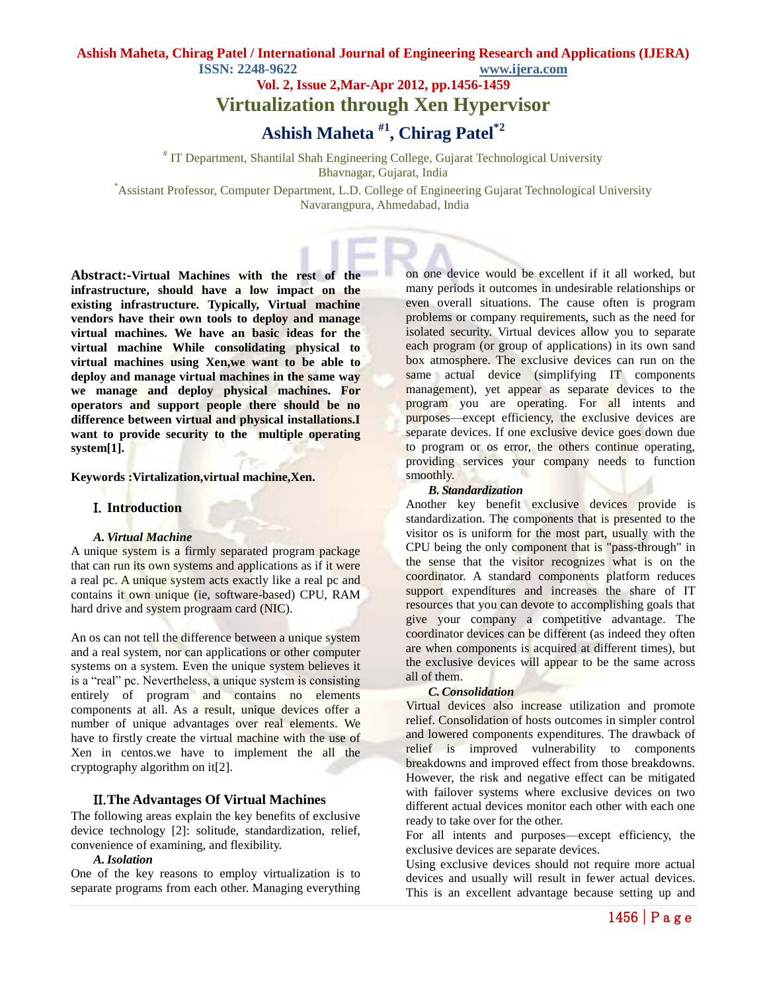**Vol. 2, Issue 2,Mar-Apr 2012, pp.1456-1459**

**Virtualization through Xen Hypervisor**

**Ashish Maheta #1, Chirag Patel\*2**

# IT Department, Shantilal Shah Engineering College, Gujarat Technological University Bhavnagar, Gujarat, India

\*Assistant Professor, Computer Department, L.D. College of Engineering Gujarat Technological University Navarangpura, Ahmedabad, India

**Abstract:-Virtual Machines with the rest of the infrastructure, should have a low impact on the existing infrastructure. Typically, Virtual machine vendors have their own tools to deploy and manage virtual machines. We have an basic ideas for the virtual machine While consolidating physical to virtual machines using Xen,we want to be able to deploy and manage virtual machines in the same way we manage and deploy physical machines. For operators and support people there should be no difference between virtual and physical installations.I want to provide security to the multiple operating system[1].**

**Keywords :Virtalization,virtual machine,Xen.**

## **Introduction**

#### *A. Virtual Machine*

A unique system is a firmly separated program package that can run its own systems and applications as if it were a real pc. A unique system acts exactly like a real pc and contains it own unique (ie, software-based) CPU, RAM hard drive and system prograam card (NIC).

An os can not tell the difference between a unique system and a real system, nor can applications or other computer systems on a system. Even the unique system believes it is a "real" pc. Nevertheless, a unique system is consisting entirely of program and contains no elements components at all. As a result, unique devices offer a number of unique advantages over real elements. We have to firstly create the virtual machine with the use of Xen in centos.we have to implement the all the cryptography algorithm on it[2].

## **The Advantages Of Virtual Machines**

The following areas explain the key benefits of exclusive device technology [2]: solitude, standardization, relief, convenience of examining, and flexibility.

### *A.Isolation*

One of the key reasons to employ virtualization is to separate programs from each other. Managing everything on one device would be excellent if it all worked, but many periods it outcomes in undesirable relationships or even overall situations. The cause often is program problems or company requirements, such as the need for isolated security. Virtual devices allow you to separate each program (or group of applications) in its own sand box atmosphere. The exclusive devices can run on the same actual device (simplifying IT components management), yet appear as separate devices to the program you are operating. For all intents and purposes—except efficiency, the exclusive devices are separate devices. If one exclusive device goes down due to program or os error, the others continue operating, providing services your company needs to function smoothly.

### *B. Standardization*

Another key benefit exclusive devices provide is standardization. The components that is presented to the visitor os is uniform for the most part, usually with the CPU being the only component that is "pass-through" in the sense that the visitor recognizes what is on the coordinator. A standard components platform reduces support expenditures and increases the share of IT resources that you can devote to accomplishing goals that give your company a competitive advantage. The coordinator devices can be different (as indeed they often are when components is acquired at different times), but the exclusive devices will appear to be the same across all of them.

#### *C. Consolidation*

Virtual devices also increase utilization and promote relief. Consolidation of hosts outcomes in simpler control and lowered components expenditures. The drawback of relief is improved vulnerability to components breakdowns and improved effect from those breakdowns. However, the risk and negative effect can be mitigated with failover systems where exclusive devices on two different actual devices monitor each other with each one ready to take over for the other.

For all intents and purposes—except efficiency, the exclusive devices are separate devices.

Using exclusive devices should not require more actual devices and usually will result in fewer actual devices. This is an excellent advantage because setting up and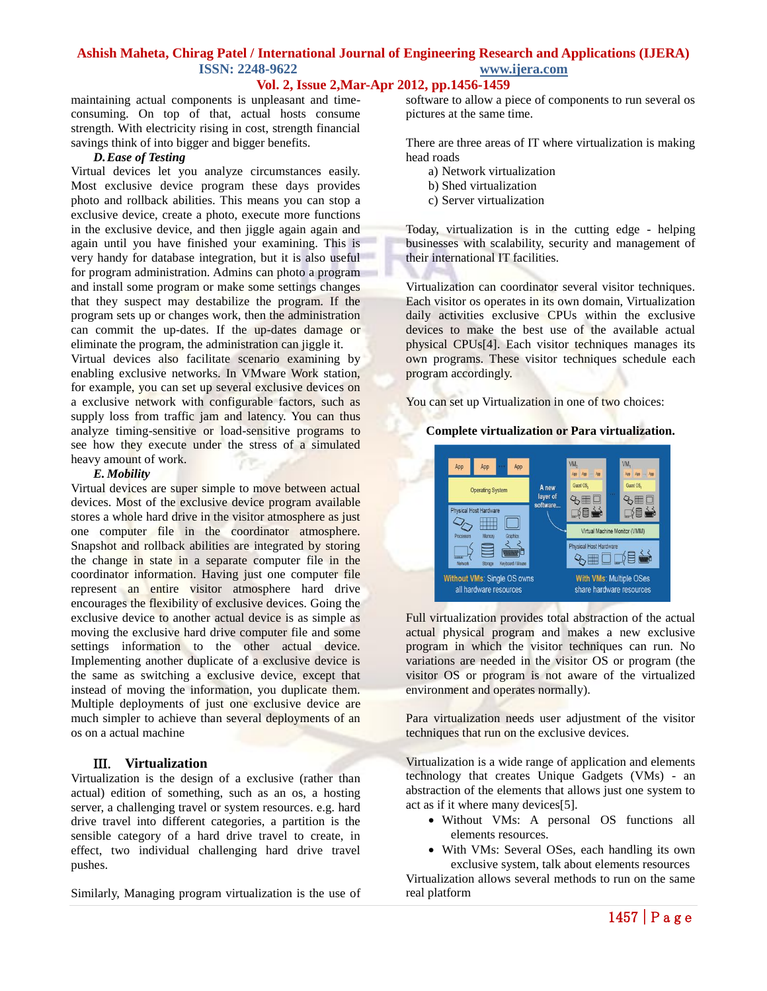**Vol. 2, Issue 2,Mar-Apr 2012, pp.1456-1459**

maintaining actual components is unpleasant and timeconsuming. On top of that, actual hosts consume strength. With electricity rising in cost, strength financial savings think of into bigger and bigger benefits.

#### *D.Ease of Testing*

Virtual devices let you analyze circumstances easily. Most exclusive device program these days provides photo and rollback abilities. This means you can stop a exclusive device, create a photo, execute more functions in the exclusive device, and then jiggle again again and again until you have finished your examining. This is very handy for database integration, but it is also useful for program administration. Admins can photo a program and install some program or make some settings changes that they suspect may destabilize the program. If the program sets up or changes work, then the administration can commit the up-dates. If the up-dates damage or eliminate the program, the administration can jiggle it.

Virtual devices also facilitate scenario examining by enabling exclusive networks. In VMware Work station, for example, you can set up several exclusive devices on a exclusive network with configurable factors, such as supply loss from traffic jam and latency. You can thus analyze timing-sensitive or load-sensitive programs to see how they execute under the stress of a simulated heavy amount of work.

#### *E. Mobility*

Virtual devices are super simple to move between actual devices. Most of the exclusive device program available stores a whole hard drive in the visitor atmosphere as just one computer file in the coordinator atmosphere. Snapshot and rollback abilities are integrated by storing the change in state in a separate computer file in the coordinator information. Having just one computer file represent an entire visitor atmosphere hard drive encourages the flexibility of exclusive devices. Going the exclusive device to another actual device is as simple as moving the exclusive hard drive computer file and some settings information to the other actual device. Implementing another duplicate of a exclusive device is the same as switching a exclusive device, except that instead of moving the information, you duplicate them. Multiple deployments of just one exclusive device are much simpler to achieve than several deployments of an os on a actual machine

## **Virtualization**

Virtualization is the design of a exclusive (rather than actual) edition of something, such as an os, a hosting server, a challenging travel or system resources. e.g. hard drive travel into different categories, a partition is the sensible category of a hard drive travel to create, in effect, two individual challenging hard drive travel pushes.

Similarly, Managing program virtualization is the use of

software to allow a piece of components to run several os pictures at the same time.

There are three areas of IT where virtualization is making head roads

- a) Network virtualization
- b) Shed virtualization
- c) Server virtualization

Today, virtualization is in the cutting edge - helping businesses with scalability, security and management of their international IT facilities.

Virtualization can coordinator several visitor techniques. Each visitor os operates in its own domain, Virtualization daily activities exclusive CPUs within the exclusive devices to make the best use of the available actual physical CPUs[4]. Each visitor techniques manages its own programs. These visitor techniques schedule each program accordingly.

You can set up Virtualization in one of two choices:

## **Complete virtualization or Para virtualization.**



Full virtualization provides total abstraction of the actual actual physical program and makes a new exclusive program in which the visitor techniques can run. No variations are needed in the visitor OS or program (the visitor OS or program is not aware of the virtualized environment and operates normally).

Para virtualization needs user adjustment of the visitor techniques that run on the exclusive devices.

Virtualization is a wide range of application and elements technology that creates Unique Gadgets (VMs) - an abstraction of the elements that allows just one system to act as if it where many devices[5].

- Without VMs: A personal OS functions all elements resources.
- With VMs: Several OSes, each handling its own exclusive system, talk about elements resources

Virtualization allows several methods to run on the same real platform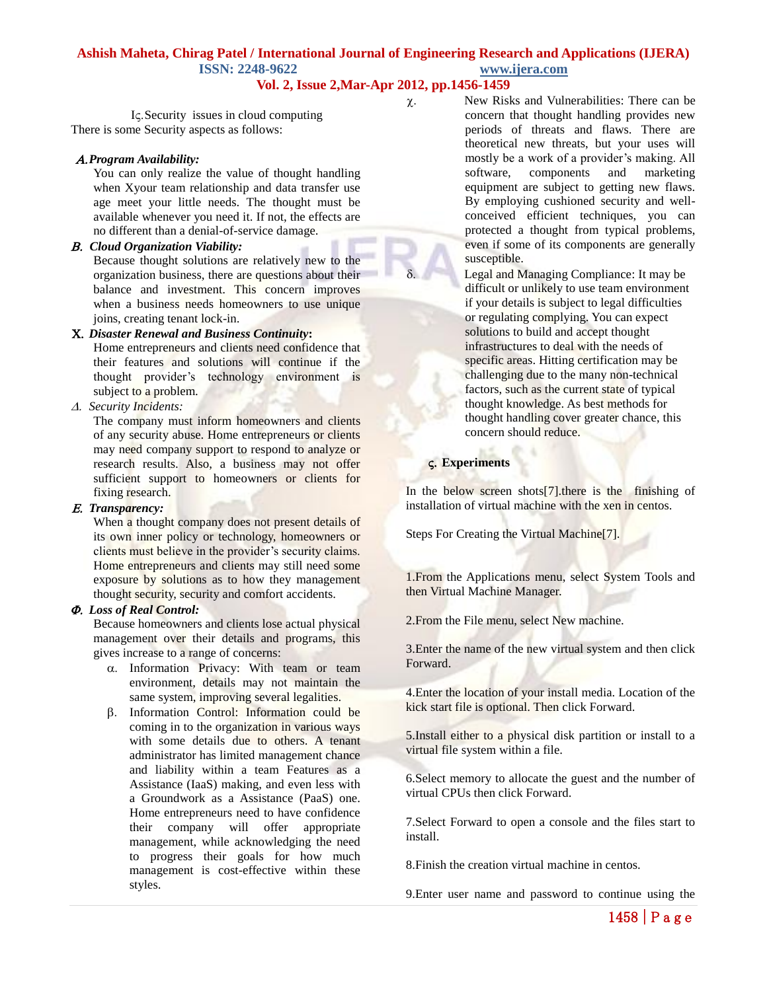## **Vol. 2, Issue 2,Mar-Apr 2012, pp.1456-1459**

I<sub>S</sub>. Security issues in cloud computing There is some Security aspects as follows:

#### *Program Availability:*

You can only realize the value of thought handling when Xyour team relationship and data transfer use age meet your little needs. The thought must be available whenever you need it. If not, the effects are no different than a denial-of-service damage.

*Cloud Organization Viability:* 

Because thought solutions are relatively new to the organization business, there are questions about their balance and investment. This concern improves when a business needs homeowners to use unique joins, creating tenant lock-in.

## *Disaster Renewal and Business Continuity***:**

Home entrepreneurs and clients need confidence that their features and solutions will continue if the thought provider's technology environment is subject to a problem.

*Security Incidents:* 

The company must inform homeowners and clients of any security abuse. Home entrepreneurs or clients may need company support to respond to analyze or research results. Also, a business may not offer sufficient support to homeowners or clients for fixing research.

#### *Transparency:*

When a thought company does not present details of its own inner policy or technology, homeowners or clients must believe in the provider's security claims. Home entrepreneurs and clients may still need some exposure by solutions as to how they management thought security, security and comfort accidents.

### *Loss of Real Control:*

Because homeowners and clients lose actual physical management over their details and programs, this gives increase to a range of concerns:

- $\alpha$ . Information Privacy: With team or team environment, details may not maintain the same system, improving several legalities.
- Information Control: Information could be coming in to the organization in various ways with some details due to others. A tenant administrator has limited management chance and liability within a team Features as a Assistance (IaaS) making, and even less with a Groundwork as a Assistance (PaaS) one. Home entrepreneurs need to have confidence their company will offer appropriate management, while acknowledging the need to progress their goals for how much management is cost-effective within these styles.

 $\chi$ . New Risks and Vulnerabilities: There can be concern that thought handling provides new periods of threats and flaws. There are theoretical new threats, but your uses will mostly be a work of a provider's making. All software, components and marketing equipment are subject to getting new flaws. By employing cushioned security and wellconceived efficient techniques, you can protected a thought from typical problems, even if some of its components are generally susceptible.

 Legal and Managing Compliance: It may be difficult or unlikely to use team environment if your details is subject to legal difficulties or regulating complying. You can expect solutions to build and accept thought infrastructures to deal with the needs of specific areas. Hitting certification may be challenging due to the many non-technical factors, such as the current state of typical thought knowledge. As best methods for thought handling cover greater chance, this concern should reduce.

### **Experiments**

In the below screen shots  $[7]$ , there is the finishing of installation of virtual machine with the xen in centos.

Steps For Creating the Virtual Machine[7].

1.From the Applications menu, select System Tools and then Virtual Machine Manager.

2.From the File menu, select New machine.

3.Enter the name of the new virtual system and then click Forward.

4.Enter the location of your install media. Location of the kick start file is optional. Then click Forward.

5.Install either to a physical disk partition or install to a virtual file system within a file.

6.Select memory to allocate the guest and the number of virtual CPUs then click Forward.

7.Select Forward to open a console and the files start to install.

8.Finish the creation virtual machine in centos.

9.Enter user name and password to continue using the